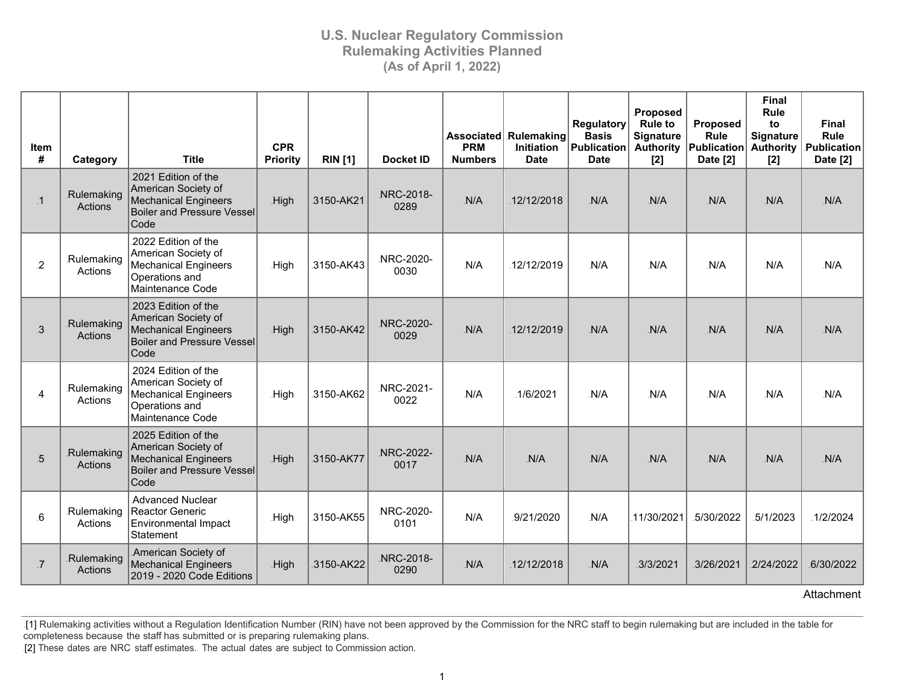| <b>Item</b><br># | Category                     | Title                                                                                                                  | <b>CPR</b><br>Priority | <b>RIN</b> [1] | Docket ID         | <b>PRM</b><br>Numbers | Associated Rulemaking<br><b>Initiation</b><br>Date | <b>Regulatory</b><br><b>Basis</b><br><b>Publication</b><br><b>Date</b> | Proposed<br><b>Rule to</b><br><b>Signature</b><br><b>Authority</b><br>[2] | Proposed<br>Rule<br><b>Publication</b><br>Date [2] | Final<br>Rule<br>to<br>Signature<br><b>Authority</b><br>[2] | Final<br><b>Rule</b><br>Publication<br>Date [2] |
|------------------|------------------------------|------------------------------------------------------------------------------------------------------------------------|------------------------|----------------|-------------------|-----------------------|----------------------------------------------------|------------------------------------------------------------------------|---------------------------------------------------------------------------|----------------------------------------------------|-------------------------------------------------------------|-------------------------------------------------|
| $\cdot$ 1        | Rulemaking<br>Actions        | 2021 Edition of the<br>American Society of<br><b>Mechanical Engineers</b><br><b>Boiler and Pressure Vessel</b><br>Code | High                   | 3150-AK21      | NRC-2018-<br>0289 | N/A                   | 12/12/2018                                         | N/A                                                                    | N/A                                                                       | N/A                                                | N/A                                                         | N/A                                             |
| $\overline{2}$   | <b>Rulemaking</b><br>Actions | 2022 Edition of the<br>American Society of<br><b>Mechanical Engineers</b><br>Operations and<br>Maintenance Code        | .High                  | 3150-AK43      | NRC-2020-<br>0030 | N/A                   | 12/12/2019                                         | N/A                                                                    | N/A                                                                       | N/A                                                | N/A                                                         | N/A                                             |
| $\mathbf{3}$     | Rulemaking<br>Actions        | 2023 Edition of the<br>American Society of<br><b>Mechanical Engineers</b><br><b>Boiler and Pressure Vessel</b><br>Code | .High                  | 3150-AK42      | NRC-2020-<br>0029 | N/A                   | 12/12/2019                                         | N/A                                                                    | N/A                                                                       | N/A                                                | N/A                                                         | N/A                                             |
| $\overline{A}$   | Rulemaking<br>Actions        | 2024 Edition of the<br>American Society of<br><b>Mechanical Engineers</b><br>Operations and<br>Maintenance Code        | .High                  | 3150-AK62      | NRC-2021-<br>0022 | N/A                   | 1/6/2021                                           | N/A                                                                    | N/A                                                                       | N/A                                                | N/A                                                         | N/A                                             |
| $\overline{5}$   | Rulemaking<br>Actions        | 2025 Edition of the<br>American Society of<br><b>Mechanical Engineers</b><br><b>Boiler and Pressure Vessel</b><br>Code | .High                  | 3150-AK77      | NRC-2022-<br>0017 | N/A                   | N/A                                                | N/A                                                                    | N/A                                                                       | N/A                                                | N/A                                                         | N/A                                             |
| $6 \overline{6}$ | Rulemaking<br>Actions        | <b>Advanced Nuclear</b><br>Reactor Generic<br>Environmental Impact<br>Statement                                        | .High                  | .3150-AK55     | NRC-2020-<br>0101 | N/A                   | 9/21/2020                                          | N/A                                                                    | 11/30/2021                                                                | 5/30/2022                                          | 5/1/2023                                                    | 1/2/2024                                        |
| $\overline{J}$   | Rulemaking<br>Actions        | American Society of<br><b>Mechanical Engineers</b><br>2019 - 2020 Code Editions                                        | .High                  | 3150-AK22      | NRC-2018-<br>0290 | N/A                   | 12/12/2018                                         | N/A                                                                    | .3/3/2021                                                                 | .3/26/2021                                         | 2/24/2022                                                   | 6/30/2022                                       |

.Attachment

.[1] Rulemaking activities without a Regulation Identification Number (RIN) have not been approved by the Commission for the NRC staff to begin rulemaking but are included in the table for completeness because the staff has submitted or is preparing rulemaking plans.

[2] These dates are NRC staff estimates. The actual dates are subject to Commission action.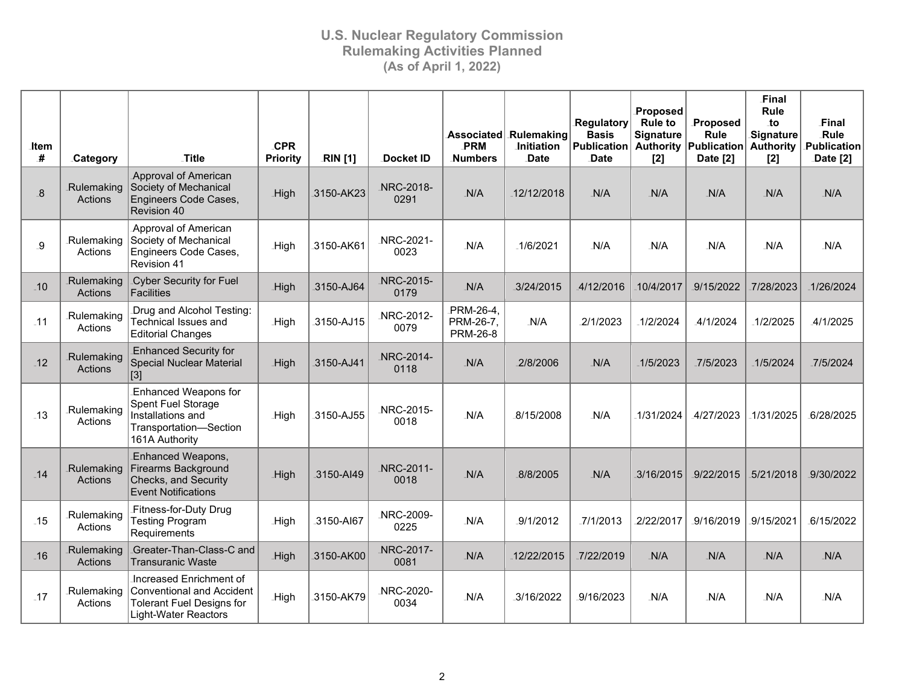| <b>Item</b><br># | <b>Category</b>              | <b>Title</b>                                                                                                        | <b>CPR</b><br><b>Priority</b> | <b>RIN</b> [1] | Docket ID          | <b>PRM</b><br><b>Numbers</b>               | Associated Rulemaking<br><b>Initiation</b><br><b>Date</b> | Regulatory<br><b>Basis</b><br><b>Publication</b><br><b>Date</b> | Proposed<br><b>Rule to</b><br><b>Signature</b><br>$[2]$ | Proposed<br>Rule<br><b>Authority Publication</b><br>Date [2] | Final<br>Rule<br>to<br>Signature<br><b>Authority</b><br>$[2]$ | Final<br>Rule<br>Publication<br>Date [2] |
|------------------|------------------------------|---------------------------------------------------------------------------------------------------------------------|-------------------------------|----------------|--------------------|--------------------------------------------|-----------------------------------------------------------|-----------------------------------------------------------------|---------------------------------------------------------|--------------------------------------------------------------|---------------------------------------------------------------|------------------------------------------|
| 8                | Rulemaking<br>Actions        | <b>Approval of American</b><br>Society of Mechanical<br>Engineers Code Cases,<br>Revision 40                        | .High                         | 3150-AK23      | NRC-2018-<br>0291  | N/A                                        | 12/12/2018                                                | $-N/A$                                                          | N/A                                                     | $-N/A$                                                       | N/A                                                           | N/A                                      |
| .9               | Rulemaking<br>Actions        | Approval of American<br>Society of Mechanical<br>Engineers Code Cases,<br>Revision 41                               | High                          | 3150-AK61      | .NRC-2021-<br>0023 | N/A                                        | .1/6/2021                                                 | N/A                                                             | N/A                                                     | N/A                                                          | N/A                                                           | N/A                                      |
| $-10$            | Rulemaking<br><b>Actions</b> | Cyber Security for Fuel<br>Facilities                                                                               | .High                         | 3150-AJ64      | NRC-2015-<br>0179  | N/A                                        | 3/24/2015                                                 | 4/12/2016                                                       | 10/4/2017                                               | 9/15/2022                                                    | 7/28/2023                                                     | 1/26/2024                                |
| $-11$            | .Rulemaking<br>Actions       | Drug and Alcohol Testing:<br><b>Technical Issues and</b><br><b>Editorial Changes</b>                                | .High                         | 3150-AJ15      | NRC-2012-<br>0079  | .PRM-26-4,<br>PRM-26-7,<br><b>PRM-26-8</b> | $-N/A$                                                    | 2/1/2023                                                        | $-1/2/2024$                                             | .4/1/2024                                                    | 1/2/2025                                                      | 4/1/2025                                 |
| $-12$            | Rulemaking<br>Actions        | <b>Enhanced Security for</b><br><b>Special Nuclear Material</b><br>$\vert$ [3]                                      | High                          | 3150-AJ41      | NRC-2014-<br>0118  | N/A                                        | 2/8/2006                                                  | $-N/A$                                                          | 1/5/2023                                                | .7/5/2023                                                    | .1/5/2024                                                     | 7/5/2024                                 |
| $-13$            | .Rulemaking<br>Actions       | Enhanced Weapons for<br>Spent Fuel Storage<br>Installations and<br>Transportation-Section<br>161A Authority         | .High                         | .3150-AJ55     | NRC-2015-<br>0018  | N/A                                        | .8/15/2008                                                | N/A                                                             | 1/31/2024                                               | 4/27/2023                                                    | $-1/31/2025$                                                  | 6/28/2025                                |
| $-14$            | Rulemaking<br>Actions        | <b>Enhanced Weapons,</b><br><b>Firearms Background</b><br><b>Checks, and Security</b><br><b>Event Notifications</b> | .High                         | 3150-AI49      | NRC-2011-<br>0018  | N/A                                        | 8/8/2005                                                  | N/A                                                             | 3/16/2015                                               | 9/22/2015                                                    | 5/21/2018                                                     | 9/30/2022                                |
| $-15$            | Rulemaking<br>Actions        | Fitness-for-Duty Drug<br><b>Testing Program</b><br>Requirements                                                     | <b>High</b>                   | 3150-AI67      | NRC-2009-<br>0225  | N/A                                        | .9/1/2012                                                 | .7/1/2013                                                       | 2/22/2017                                               | 9/16/2019                                                    | 9/15/2021                                                     | 6/15/2022                                |
| $-16$            | Rulemaking<br>Actions        | Greater-Than-Class-C and<br><b>Transuranic Waste</b>                                                                | High                          | .3150-AK00     | NRC-2017-<br>0081  | N/A                                        | 12/22/2015                                                | 7/22/2019                                                       | N/A                                                     | N/A                                                          | N/A                                                           | $-N/A$                                   |
| $-17$            | Rulemaking<br>Actions        | Increased Enrichment of<br>Conventional and Accident<br><b>Tolerant Fuel Designs for</b><br>Light-Water Reactors    | .High                         | .3150-AK79     | NRC-2020-<br>0034  | N/A                                        | .3/16/2022                                                | 9/16/2023                                                       | N/A                                                     | N/A                                                          | N/A                                                           | N/A                                      |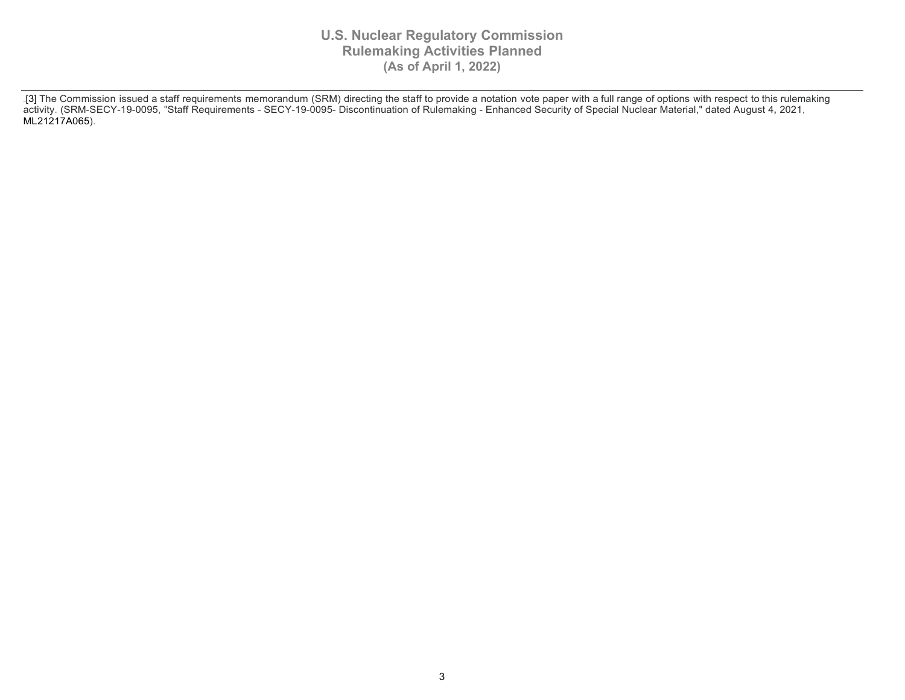[3] The Commission issued a staff requirements memorandum (SRM) directing the staff to provide a notation vote paper with a full range of options with respect to this rulemaking activity. (SRM-SECY-19-0095, "Staff Requirements - SECY-19-0095- Discontinuation of Rulemaking - Enhanced Security of Special Nuclear Material," dated August 4**,** 2021, ML21217A065).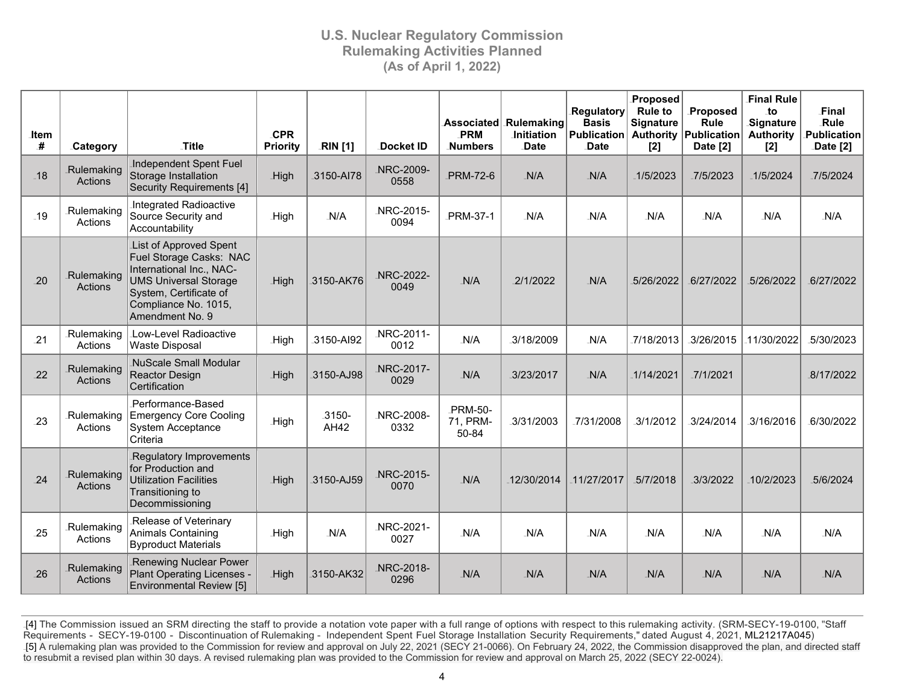| .ltem<br># | Category              | .Title                                                                                                                                                                             | <b>CPR</b><br><b>Priority</b> | <b>RIN</b> [1] | Docket ID         | PRM<br><b>Numbers</b>        | Associated Rulemaking<br><b>Initiation</b><br><b>Date</b> | Regulatory<br><b>Basis</b><br>Publication<br><b>Date</b> | Proposed<br><b>Rule to</b><br><b>Signature</b><br>$[2]$ | Proposed<br><b>Rule</b><br><b>Authority Publication</b><br>Date [2] | <b>Final Rule</b><br>$\overline{a}$<br>Signature<br><b>Authority</b><br>$[2]$ | Final<br>Rule<br>Publication<br>Date [2] |
|------------|-----------------------|------------------------------------------------------------------------------------------------------------------------------------------------------------------------------------|-------------------------------|----------------|-------------------|------------------------------|-----------------------------------------------------------|----------------------------------------------------------|---------------------------------------------------------|---------------------------------------------------------------------|-------------------------------------------------------------------------------|------------------------------------------|
| $-18$      | Rulemaking<br>Actions | Independent Spent Fuel<br>Storage Installation<br>Security Requirements [4]                                                                                                        | .High                         | .3150-AI78     | NRC-2009-<br>0558 | PRM-72-6                     | N/A                                                       | N/A                                                      | $-1/5/2023$                                             | .7/5/2023                                                           | $-1/5/2024$                                                                   | .7/5/2024                                |
| $-19$      | Rulemaking<br>Actions | Integrated Radioactive<br>Source Security and<br>Accountability                                                                                                                    | .High                         | N/A            | NRC-2015-<br>0094 | PRM-37-1                     | N/A                                                       | N/A                                                      | N/A                                                     | N/A                                                                 | N/A                                                                           | N/A                                      |
| 20         | Rulemaking<br>Actions | List of Approved Spent<br>Fuel Storage Casks: NAC<br>International Inc., NAC-<br><b>UMS Universal Storage</b><br>System, Certificate of<br>Compliance No. 1015,<br>Amendment No. 9 | <b>High</b>                   | 3150-AK76      | NRC-2022-<br>0049 | N/A                          | 2/1/2022                                                  | N/A                                                      | 5/26/2022                                               | 6/27/2022                                                           | 5/26/2022                                                                     | 6/27/2022                                |
| 21         | Rulemaking<br>Actions | Low-Level Radioactive<br><b>Waste Disposal</b>                                                                                                                                     | <b>High</b>                   | 3150-AI92      | NRC-2011-<br>0012 | N/A                          | 3/18/2009                                                 | N/A                                                      | 7/18/2013                                               | 3/26/2015                                                           | 11/30/2022                                                                    | -5/30/2023                               |
| 22         | Rulemaking<br>Actions | <b>NuScale Small Modular</b><br>Reactor Design<br>Certification                                                                                                                    | .High                         | 3150-AJ98      | NRC-2017-<br>0029 | N/A                          | 3/23/2017                                                 | N/A                                                      | 1/14/2021                                               | 7/1/2021                                                            |                                                                               | .8/17/2022                               |
| .23        | Rulemaking<br>Actions | Performance-Based<br><b>Emergency Core Cooling</b><br>System Acceptance<br>Criteria                                                                                                | .High                         | .3150-<br>AH42 | NRC-2008-<br>0332 | PRM-50-<br>71, PRM-<br>50-84 | 3/31/2003                                                 | .7/31/2008                                               | 3/1/2012                                                | 3/24/2014                                                           | 3/16/2016                                                                     | .6/30/2022                               |
| 24         | Rulemaking<br>Actions | <b>Regulatory Improvements</b><br>for Production and<br><b>Utilization Facilities</b><br>Transitioning to<br>Decommissioning                                                       | <b>High</b>                   | 3150-AJ59      | NRC-2015-<br>0070 | N/A                          | 12/30/2014                                                | 11/27/2017                                               | 5/7/2018                                                | 3/3/2022                                                            | 10/2/2023                                                                     | 5/6/2024                                 |
| .25        | Rulemaking<br>Actions | Release of Veterinary<br><b>Animals Containing</b><br><b>Byproduct Materials</b>                                                                                                   | .High                         | N/A            | NRC-2021-<br>0027 | N/A                          | N/A                                                       | N/A                                                      | N/A                                                     | N/A                                                                 | N/A                                                                           | N/A                                      |
| 26         | Rulemaking<br>Actions | <b>Renewing Nuclear Power</b><br>Plant Operating Licenses -<br>Environmental Review [5]                                                                                            | High                          | 3150-AK32      | NRC-2018-<br>0296 | N/A                          | N/A                                                       | N/A                                                      | N/A                                                     | N/A                                                                 | N/A                                                                           | N/A                                      |

[4] The Commission issued an SRM directing the staff to provide a notation vote paper with a full range of options with respect to this rulemaking activity. (SRM-SECY-19-0100, "Staff Requirements - SECY-19-0100 - Discontinuation of Rulemaking - Independent Spent Fuel Storage Installation Security Requirements," dated August 4, 2021, ML21217A045) [5] A rulemaking plan was provided to the Commission for review and approval on July 22, 2021 (SECY 21-0066). On February 24, 2022, the Commission disapproved the plan, and directed staff to resubmit a revised plan within 30 days. A revised rulemaking plan was provided to the Commission for review and approval on March 25, 2022 (SECY 22-0024).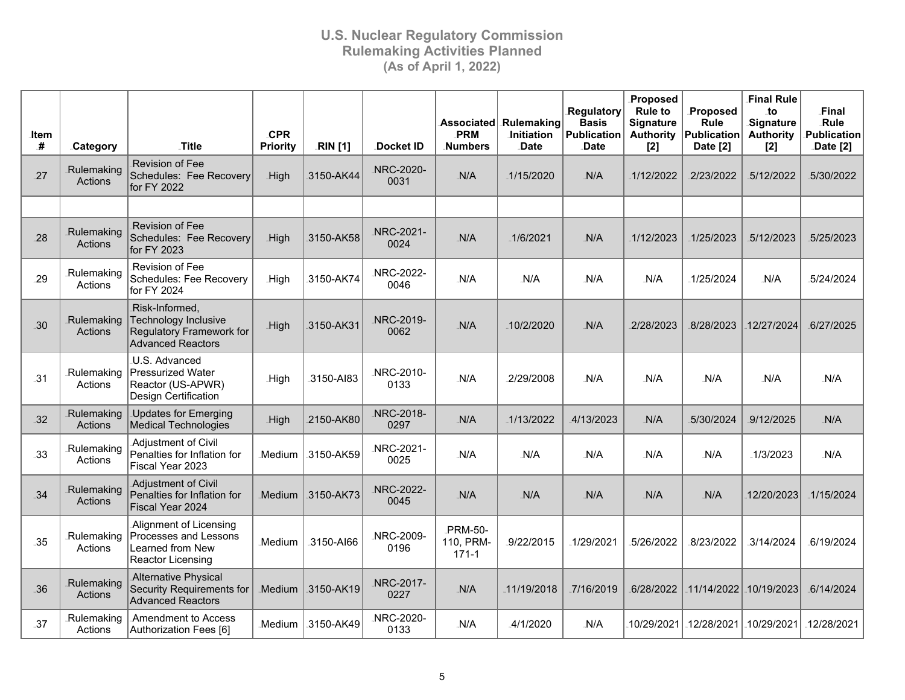| ltem<br># | Category              | Title                                                                                                  | <b>CPR</b><br><b>Priority</b> | <b>RIN</b> [1] | <b>Docket ID</b>   | PRM<br><b>Numbers</b>           | Associated Rulemaking<br><b>Initiation</b><br><b>Date</b> | Regulatory<br><b>Basis</b><br><b>Publication</b><br><b>Date</b> | Proposed<br><b>Rule to</b><br><b>Signature</b><br><b>Authority</b><br>$[2]$ | Proposed<br>Rule<br>Publication<br>Date [2] | <b>Final Rule</b><br>_to<br>Signature<br><b>Authority</b><br>$[2]$ | Final<br>Rule<br>Publication<br>Date [2] |
|-----------|-----------------------|--------------------------------------------------------------------------------------------------------|-------------------------------|----------------|--------------------|---------------------------------|-----------------------------------------------------------|-----------------------------------------------------------------|-----------------------------------------------------------------------------|---------------------------------------------|--------------------------------------------------------------------|------------------------------------------|
| 27        | Rulemaking<br>Actions | <b>Revision of Fee</b><br>Schedules: Fee Recovery<br>for FY 2022                                       | .High                         | 3150-AK44      | NRC-2020-<br>0031  | N/A                             | .1/15/2020                                                | N/A                                                             | 1/12/2022                                                                   | 2/23/2022                                   | 5/12/2022                                                          | 5/30/2022                                |
|           |                       |                                                                                                        |                               |                |                    |                                 |                                                           |                                                                 |                                                                             |                                             |                                                                    |                                          |
| 28        | Rulemaking<br>Actions | <b>Revision of Fee</b><br>Schedules: Fee Recovery<br>for FY 2023                                       | <b>High</b>                   | 3150-AK58      | NRC-2021-<br>0024  | N/A                             | 1/6/2021                                                  | N/A                                                             | 1/12/2023                                                                   | 1/25/2023                                   | 5/12/2023                                                          | 5/25/2023                                |
| 29        | Rulemaking<br>Actions | Revision of Fee<br>Schedules: Fee Recovery<br>for FY 2024                                              | <b>High</b>                   | 3150-AK74      | NRC-2022-<br>0046  | N/A                             | N/A                                                       | N/A                                                             | N/A                                                                         | 1/25/2024                                   | N/A                                                                | 5/24/2024                                |
| $-30$     | Rulemaking<br>Actions | Risk-Informed,<br><b>Technology Inclusive</b><br>Regulatory Framework for<br>Advanced Reactors         | .High                         | 3150-AK31      | NRC-2019-<br>0062  | N/A                             | 10/2/2020                                                 | N/A                                                             | 2/28/2023                                                                   | 8/28/2023                                   | 12/27/2024                                                         | 6/27/2025                                |
| $-31$     | Rulemaking<br>Actions | U.S. Advanced<br><b>Pressurized Water</b><br>Reactor (US-APWR)<br>Design Certification                 | <b>High</b>                   | 3150-AI83      | NRC-2010-<br>0133  | N/A                             | 2/29/2008                                                 | N/A                                                             | N/A                                                                         | N/A                                         | N/A                                                                | N/A                                      |
| 32        | Rulemaking<br>Actions | <b>Updates for Emerging</b><br>Medical Technologies                                                    | .High                         | 2150-AK80      | NRC-2018-<br>0297  | N/A                             | .1/13/2022                                                | 4/13/2023                                                       | N/A                                                                         | 5/30/2024                                   | 9/12/2025                                                          | N/A                                      |
| 33        | Rulemaking<br>Actions | Adjustment of Civil<br>Penalties for Inflation for<br>Fiscal Year 2023                                 | Medium                        | 3150-AK59      | NRC-2021-<br>0025  | N/A                             | N/A                                                       | N/A                                                             | N/A                                                                         | N/A                                         | $-1/3/2023$                                                        | N/A                                      |
| 34        | Rulemaking<br>Actions | Adjustment of Civil<br>Penalties for Inflation for<br>Fiscal Year 2024                                 | Medium                        | 3150-AK73      | NRC-2022-<br>0045  | N/A                             | N/A                                                       | N/A                                                             | N/A                                                                         | N/A                                         | 12/20/2023                                                         | 1/15/2024                                |
| .35       | Rulemaking<br>Actions | Alignment of Licensing<br>Processes and Lessons<br><b>Learned from New</b><br><b>Reactor Licensing</b> | <b>Medium</b>                 | 3150-AI66      | NRC-2009-<br>0196  | PRM-50-<br>110, PRM-<br>$171-1$ | 9/22/2015                                                 | 1/29/2021                                                       | 5/26/2022                                                                   | 8/23/2022                                   | .3/14/2024                                                         | 6/19/2024                                |
| 36        | Rulemaking<br>Actions | <b>Alternative Physical</b><br>Security Requirements for<br><b>Advanced Reactors</b>                   | <b>Medium</b>                 | 3150-AK19      | NRC-2017-<br>0227  | N/A                             | 11/19/2018                                                | 7/16/2019                                                       | 6/28/2022                                                                   | 11/14/2022                                  | 10/19/2023                                                         | .6/14/2024                               |
| 37        | Rulemaking<br>Actions | Amendment to Access<br>Authorization Fees [6]                                                          | .Medium                       | .3150-AK49     | .NRC-2020-<br>0133 | N/A                             | 4/1/2020                                                  | N/A                                                             | 10/29/2021                                                                  | 12/28/2021                                  | 10/29/2021                                                         | 12/28/2021                               |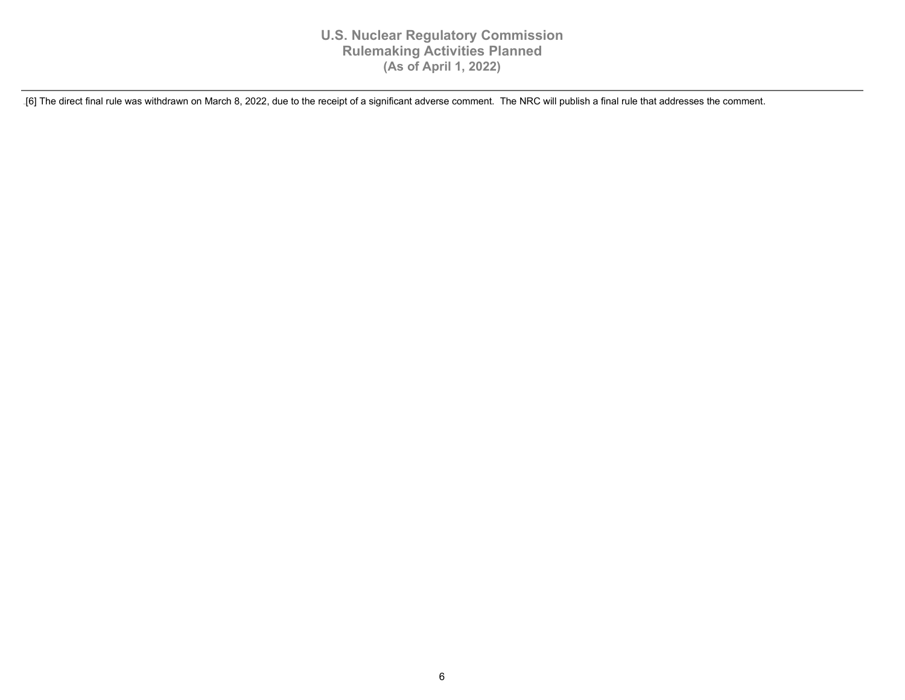.[6] The direct final rule was withdrawn on March 8, 2022, due to the receipt of a significant adverse comment. The NRC will publish a final rule that addresses the comment.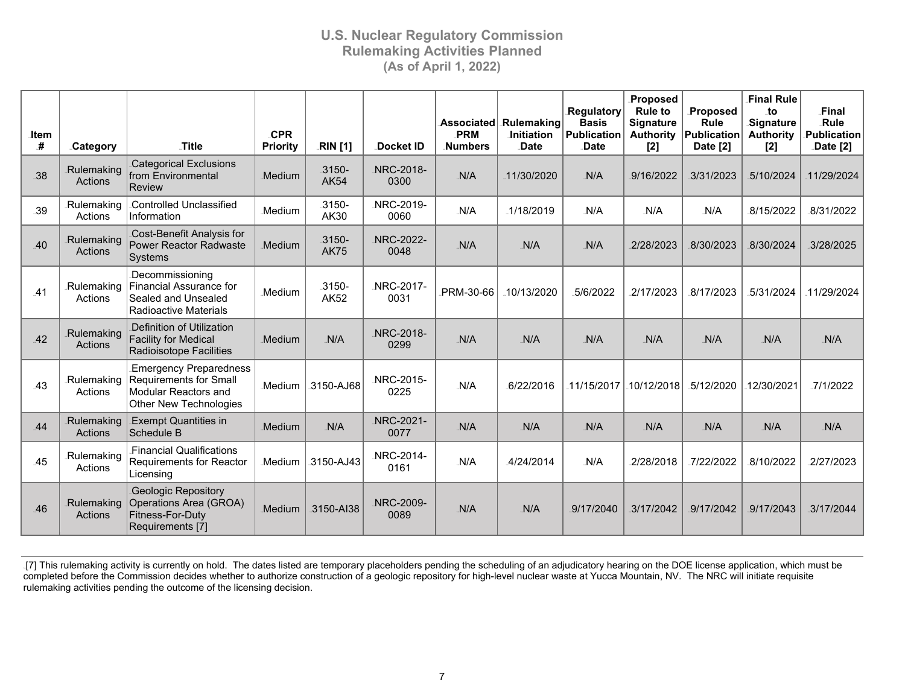| <b>Item</b><br># |                                          | Title                                                                                                            | <b>CPR</b><br><b>Priority</b> | <b>RIN</b> [1]          | Docket ID         | PRM<br><b>Numbers</b> | Associated Rulemaking<br><b>Initiation</b><br><b>Date</b> | <b>Regulatory</b><br><b>Basis</b><br>Publication<br>Date | Proposed<br><b>Rule to</b><br><b>Signature</b><br><b>Authority</b> | Proposed<br><b>Rule</b><br>Publication<br>Date [2] | <b>Final Rule</b><br>to.<br>Signature<br><b>Authority</b> | Final<br>Rule<br><b>Publication</b> |
|------------------|------------------------------------------|------------------------------------------------------------------------------------------------------------------|-------------------------------|-------------------------|-------------------|-----------------------|-----------------------------------------------------------|----------------------------------------------------------|--------------------------------------------------------------------|----------------------------------------------------|-----------------------------------------------------------|-------------------------------------|
| .38              | <b>Category</b><br>Rulemaking<br>Actions | <b>Categorical Exclusions</b><br>from Environmental<br>Review                                                    | Medium                        | .3150-<br><b>AK54</b>   | NRC-2018-<br>0300 | N/A                   | 11/30/2020                                                | N/A                                                      | [2]<br>9/16/2022                                                   | 3/31/2023                                          | $[2]$<br>5/10/2024                                        | Date [2]<br>11/29/2024              |
| .39              | Rulemaking<br>Actions                    | Controlled Unclassified<br>Information                                                                           | <b>Medium</b>                 | 3150-<br>AK30           | NRC-2019-<br>0060 | N/A                   | 1/18/2019                                                 | N/A                                                      | N/A                                                                | N/A                                                | 8/15/2022                                                 | 8/31/2022                           |
| .40              | Rulemaking<br>Actions                    | Cost-Benefit Analysis for<br><b>Power Reactor Radwaste</b><br>Systems                                            | <b>Medium</b>                 | $-3150-$<br><b>AK75</b> | NRC-2022-<br>0048 | N/A                   | $-N/A$                                                    | N/A                                                      | 2/28/2023                                                          | 8/30/2023                                          | 8/30/2024                                                 | 3/28/2025                           |
| .41              | Rulemaking<br>Actions                    | Decommissioning<br><b>Financial Assurance for</b><br>Sealed and Unsealed<br>Radioactive Materials                | Medium                        | 3150-<br><b>AK52</b>    | NRC-2017-<br>0031 | PRM-30-66             | 10/13/2020                                                | .5/6/2022                                                | 2/17/2023                                                          | 8/17/2023                                          | 5/31/2024                                                 | 11/29/2024                          |
| $-42$            | Rulemaking<br><b>Actions</b>             | Definition of Utilization<br><b>Facility for Medical</b><br><b>Radioisotope Facilities</b>                       | <b>Medium</b>                 | N/A                     | NRC-2018-<br>0299 | N/A                   | $-N/A$                                                    | N/A                                                      | N/A                                                                | N/A                                                | $-N/A$                                                    | N/A                                 |
| .43              | Rulemaking<br>Actions                    | <b>Emergency Preparedness</b><br><b>Requirements for Small</b><br>Modular Reactors and<br>Other New Technologies | Medium.                       | .3150-AJ68              | NRC-2015-<br>0225 | N/A                   | 6/22/2016                                                 | 11/15/2017                                               | .10/12/2018                                                        | -5/12/2020                                         | 12/30/2021                                                | .7/1/2022                           |
| 44               | Rulemaking<br>Actions                    | <b>Exempt Quantities in</b><br>Schedule B                                                                        | Medium.                       | $-N/A$                  | NRC-2021-<br>0077 | N/A                   | $-N/A$                                                    | N/A                                                      | N/A                                                                | $-N/A$                                             | $-N/A$                                                    | $-N/A$                              |
| .45              | .Rulemaking<br>Actions                   | <b>Financial Qualifications</b><br><b>Requirements for Reactor</b><br>Licensing                                  | Medium                        | 3150-AJ43               | NRC-2014-<br>0161 | N/A                   | 4/24/2014                                                 | N/A                                                      | 2/28/2018                                                          | 7/22/2022                                          | 8/10/2022                                                 | 2/27/2023                           |
| 46               | Rulemaking<br>Actions                    | <b>Geologic Repository</b><br>Operations Area (GROA)<br>Fitness-For-Duty<br>Requirements [7]                     | <b>Medium</b>                 | 3150-AI38               | NRC-2009-<br>0089 | N/A                   | $-N/A$                                                    | 9/17/2040                                                | .3/17/2042                                                         | 9/17/2042                                          | 9/17/2043                                                 | .3/17/2044                          |

[7] This rulemaking activity is currently on hold. The dates listed are temporary placeholders pending the scheduling of an adjudicatory hearing on the DOE license application, which must be completed before the Commission decides whether to authorize construction of a geologic repository for high-level nuclear waste at Yucca Mountain, NV. The NRC will initiate requisite rulemaking activities pending the outcome of the licensing decision.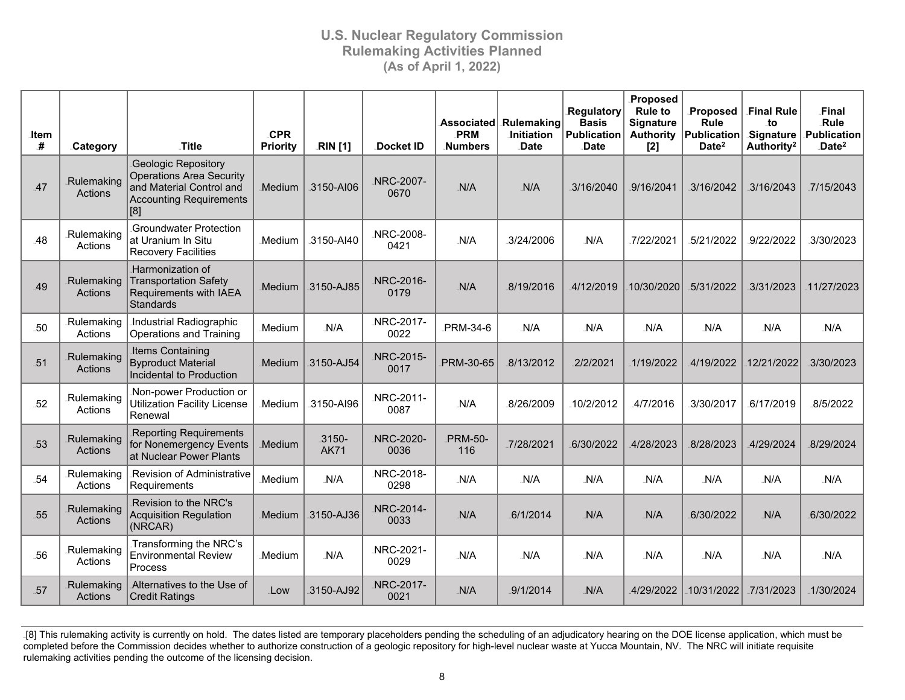| .ltem<br># | Category                     | .Title                                                                                                                      | <b>CPR</b><br><b>Priority</b> | <b>RIN</b> [1]          | Docket ID         | Associated<br>PRM<br><b>Numbers</b> | <b>Rulemaking</b><br><b>Initiation</b><br>Date | Regulatory<br><b>Basis</b><br><b>Publication</b><br><b>Date</b> | Proposed<br><b>Rule to</b><br><b>Signature</b><br><b>Authority</b><br>$[2]$ | Proposed<br><b>Rule</b><br>Publication<br>Date <sup>2</sup> | <b>Final Rule</b><br>to<br>Signature<br>Authority <sup>2</sup> | Final<br>Rule<br><b>Publication</b><br>Date <sup>2</sup> |
|------------|------------------------------|-----------------------------------------------------------------------------------------------------------------------------|-------------------------------|-------------------------|-------------------|-------------------------------------|------------------------------------------------|-----------------------------------------------------------------|-----------------------------------------------------------------------------|-------------------------------------------------------------|----------------------------------------------------------------|----------------------------------------------------------|
| 47         | Rulemaking<br><b>Actions</b> | Geologic Repository<br><b>Operations Area Security</b><br>and Material Control and<br><b>Accounting Requirements</b><br>[8] | <b>Medium</b>                 | 3150-AI06               | NRC-2007-<br>0670 | N/A                                 | $-N/A$                                         | 3/16/2040                                                       | 9/16/2041                                                                   | 3/16/2042                                                   | 3/16/2043                                                      | .7/15/2043                                               |
| .48        | Rulemaking<br>Actions        | Groundwater Protection<br>at Uranium In Situ<br><b>Recovery Facilities</b>                                                  | .Medium                       | .3150-AI40              | NRC-2008-<br>0421 | N/A                                 | .3/24/2006                                     | N/A                                                             | 7/22/2021                                                                   | 5/21/2022                                                   | 9/22/2022                                                      | .3/30/2023                                               |
| 49         | Rulemaking<br>Actions        | Harmonization of<br><b>Transportation Safety</b><br>Requirements with IAEA<br>Standards                                     | Medium                        | 3150-AJ85               | NRC-2016-<br>0179 | N/A                                 | .8/19/2016                                     | 4/12/2019                                                       | 10/30/2020                                                                  | 5/31/2022                                                   | 3/31/2023                                                      | 11/27/2023                                               |
| .50        | .Rulemaking<br>Actions       | Industrial Radiographic<br>Operations and Training                                                                          | Medium                        | N/A                     | NRC-2017-<br>0022 | PRM-34-6                            | $-N/A$                                         | N/A                                                             | N/A                                                                         | $-N/A$                                                      | N/A                                                            | N/A                                                      |
| .51        | Rulemaking<br>Actions        | <b>Items Containing</b><br><b>Byproduct Material</b><br>Incidental to Production                                            | <b>Medium</b>                 | 3150-AJ54               | NRC-2015-<br>0017 | PRM-30-65                           | .8/13/2012                                     | 2/2/2021                                                        | 1/19/2022                                                                   | 4/19/2022                                                   | 12/21/2022                                                     | .3/30/2023                                               |
| 52         | Rulemaking<br>Actions        | Non-power Production or<br><b>Utilization Facility License</b><br>Renewal                                                   | Medium.                       | 3150-AI96               | NRC-2011-<br>0087 | N/A                                 | .8/26/2009                                     | 10/2/2012                                                       | 4/7/2016                                                                    | 3/30/2017                                                   | .6/17/2019                                                     | 8/5/2022                                                 |
| 53         | Rulemaking<br>Actions        | <b>Reporting Requirements</b><br>for Nonemergency Events<br>at Nuclear Power Plants                                         | Medium                        | $-3150-$<br><b>AK71</b> | NRC-2020-<br>0036 | <b>PRM-50-</b><br>116               | .7/28/2021                                     | 6/30/2022                                                       | 4/28/2023                                                                   | 8/28/2023                                                   | 4/29/2024                                                      | 8/29/2024                                                |
| 54         | .Rulemaking<br>Actions       | <b>Revision of Administrative</b><br>Requirements                                                                           | <b>Medium</b>                 | N/A                     | NRC-2018-<br>0298 | N/A                                 | $-N/A$                                         | N/A                                                             | N/A                                                                         | N/A                                                         | N/A                                                            | N/A                                                      |
| 55         | Rulemaking<br>Actions        | <b>Revision to the NRC's</b><br><b>Acquisition Regulation</b><br>(NRCAR)                                                    | Medium.                       | 3150-AJ36               | NRC-2014-<br>0033 | N/A                                 | .6/1/2014                                      | N/A                                                             | N/A                                                                         | 6/30/2022                                                   | $-N/A$                                                         | 6/30/2022                                                |
| -56        | Rulemaking<br>Actions        | Transforming the NRC's<br><b>Environmental Review</b><br>Process                                                            | .Medium                       | N/A                     | NRC-2021-<br>0029 | N/A                                 | N/A                                            | N/A                                                             | N/A                                                                         | N/A                                                         | N/A                                                            | N/A                                                      |
| 57         | Rulemaking<br>Actions        | Alternatives to the Use of<br><b>Credit Ratings</b>                                                                         | Low                           | 3150-AJ92               | NRC-2017-<br>0021 | N/A                                 | 9/1/2014                                       | N/A                                                             | 4/29/2022                                                                   | 10/31/2022                                                  | 7/31/2023                                                      | 1/30/2024                                                |

<sup>.[8]</sup> This rulemaking activity is currently on hold. The dates listed are temporary placeholders pending the scheduling of an adjudicatory hearing on the DOE license application, which must be completed before the Commission decides whether to authorize construction of a geologic repository for high-level nuclear waste at Yucca Mountain, NV. The NRC will initiate requisite rulemaking activities pending the outcome of the licensing decision.